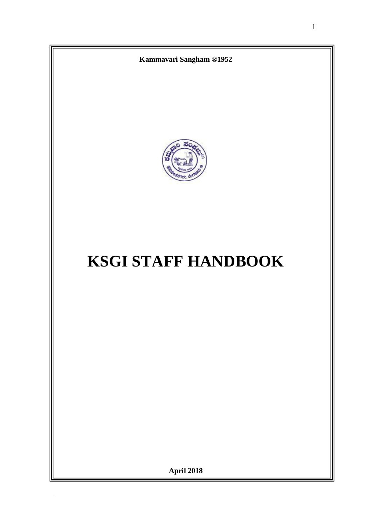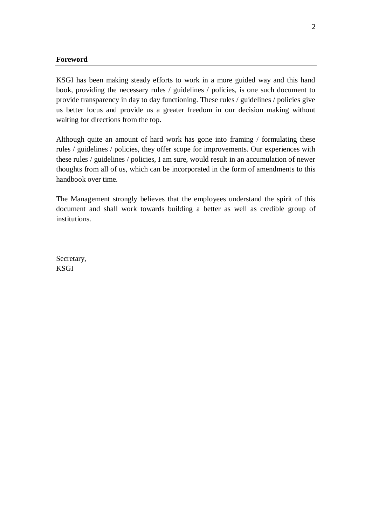#### **Foreword**

KSGI has been making steady efforts to work in a more guided way and this hand book, providing the necessary rules / guidelines / policies, is one such document to provide transparency in day to day functioning. These rules / guidelines / policies give us better focus and provide us a greater freedom in our decision making without waiting for directions from the top.

Although quite an amount of hard work has gone into framing / formulating these rules / guidelines / policies, they offer scope for improvements. Our experiences with these rules / guidelines / policies, I am sure, would result in an accumulation of newer thoughts from all of us, which can be incorporated in the form of amendments to this handbook over time.

The Management strongly believes that the employees understand the spirit of this document and shall work towards building a better as well as credible group of institutions.

Secretary, KSGI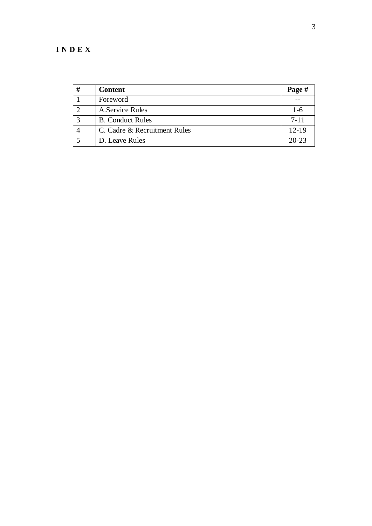## **I N D E X**

| #            | <b>Content</b>               | Page #    |
|--------------|------------------------------|-----------|
|              | Foreword                     |           |
|              | A. Service Rules             | $1-6$     |
| $\mathbf{c}$ | <b>B.</b> Conduct Rules      | $7 - 11$  |
|              | C. Cadre & Recruitment Rules | $12 - 19$ |
|              | D. Leave Rules               | $20 - 23$ |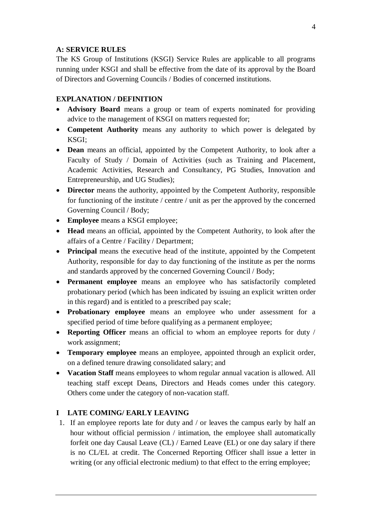## **A: SERVICE RULES**

The KS Group of Institutions (KSGI) Service Rules are applicable to all programs running under KSGI and shall be effective from the date of its approval by the Board of Directors and Governing Councils / Bodies of concerned institutions.

## **EXPLANATION / DEFINITION**

- **Advisory Board** means a group or team of experts nominated for providing advice to the management of KSGI on matters requested for;
- **Competent Authority** means any authority to which power is delegated by KSGI;
- **Dean** means an official, appointed by the Competent Authority, to look after a Faculty of Study / Domain of Activities (such as Training and Placement, Academic Activities, Research and Consultancy, PG Studies, Innovation and Entrepreneurship, and UG Studies);
- **Director** means the authority, appointed by the Competent Authority, responsible for functioning of the institute / centre / unit as per the approved by the concerned Governing Council / Body;
- **Employee** means a KSGI employee;
- **Head** means an official, appointed by the Competent Authority, to look after the affairs of a Centre / Facility / Department;
- **Principal** means the executive head of the institute, appointed by the Competent Authority, responsible for day to day functioning of the institute as per the norms and standards approved by the concerned Governing Council / Body;
- **Permanent employee** means an employee who has satisfactorily completed probationary period (which has been indicated by issuing an explicit written order in this regard) and is entitled to a prescribed pay scale;
- **Probationary employee** means an employee who under assessment for a specified period of time before qualifying as a permanent employee;
- **Reporting Officer** means an official to whom an employee reports for duty / work assignment;
- **Temporary employee** means an employee, appointed through an explicit order, on a defined tenure drawing consolidated salary; and
- **Vacation Staff** means employees to whom regular annual vacation is allowed. All teaching staff except Deans, Directors and Heads comes under this category. Others come under the category of non-vacation staff.

## **I LATE COMING/ EARLY LEAVING**

1. If an employee reports late for duty and / or leaves the campus early by half an hour without official permission / intimation, the employee shall automatically forfeit one day Causal Leave (CL) / Earned Leave (EL) or one day salary if there is no CL/EL at credit. The Concerned Reporting Officer shall issue a letter in writing (or any official electronic medium) to that effect to the erring employee;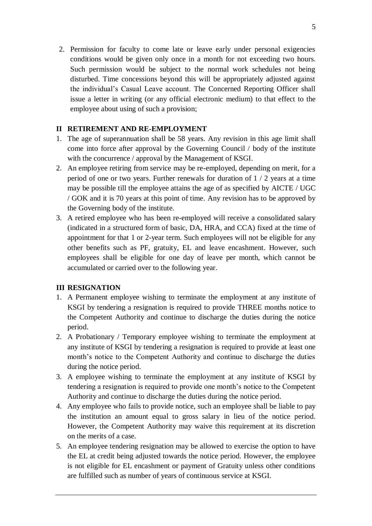2. Permission for faculty to come late or leave early under personal exigencies conditions would be given only once in a month for not exceeding two hours. Such permission would be subject to the normal work schedules not being disturbed. Time concessions beyond this will be appropriately adjusted against the individual's Casual Leave account. The Concerned Reporting Officer shall issue a letter in writing (or any official electronic medium) to that effect to the employee about using of such a provision;

## **II RETIREMENT AND RE-EMPLOYMENT**

- 1. The age of superannuation shall be 58 years. Any revision in this age limit shall come into force after approval by the Governing Council / body of the institute with the concurrence / approval by the Management of KSGI.
- 2. An employee retiring from service may be re-employed, depending on merit, for a period of one or two years. Further renewals for duration of  $1/2$  years at a time may be possible till the employee attains the age of as specified by AICTE / UGC / GOK and it is 70 years at this point of time. Any revision has to be approved by the Governing body of the institute.
- 3. A retired employee who has been re-employed will receive a consolidated salary (indicated in a structured form of basic, DA, HRA, and CCA) fixed at the time of appointment for that 1 or 2-year term. Such employees will not be eligible for any other benefits such as PF, gratuity, EL and leave encashment. However, such employees shall be eligible for one day of leave per month, which cannot be accumulated or carried over to the following year.

## **III RESIGNATION**

- 1. A Permanent employee wishing to terminate the employment at any institute of KSGI by tendering a resignation is required to provide THREE months notice to the Competent Authority and continue to discharge the duties during the notice period.
- 2. A Probationary / Temporary employee wishing to terminate the employment at any institute of KSGI by tendering a resignation is required to provide at least one month's notice to the Competent Authority and continue to discharge the duties during the notice period.
- 3. A employee wishing to terminate the employment at any institute of KSGI by tendering a resignation is required to provide one month's notice to the Competent Authority and continue to discharge the duties during the notice period.
- 4. Any employee who fails to provide notice, such an employee shall be liable to pay the institution an amount equal to gross salary in lieu of the notice period. However, the Competent Authority may waive this requirement at its discretion on the merits of a case.
- 5. An employee tendering resignation may be allowed to exercise the option to have the EL at credit being adjusted towards the notice period. However, the employee is not eligible for EL encashment or payment of Gratuity unless other conditions are fulfilled such as number of years of continuous service at KSGI.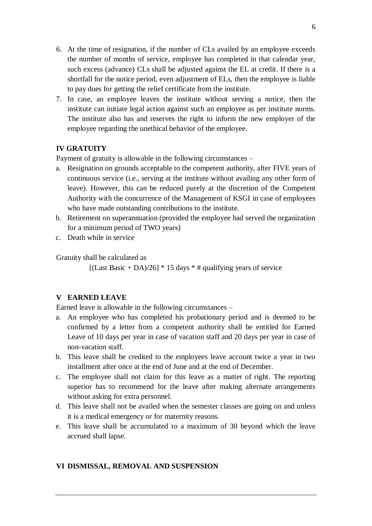- 6. At the time of resignation, if the number of CLs availed by an employee exceeds the number of months of service, employee has completed in that calendar year, such excess (advance) CLs shall be adjusted against the EL at credit. If there is a shortfall for the notice period, even adjustment of ELs, then the employee is liable to pay dues for getting the relief certificate from the institute.
- 7. In case, an employee leaves the institute without serving a notice, then the institute can initiate legal action against such an employee as per institute norms. The institute also has and reserves the right to inform the new employer of the employee regarding the unethical behavior of the employee.

## **IV GRATUITY**

Payment of gratuity is allowable in the following circumstances –

- a. Resignation on grounds acceptable to the competent authority, after FIVE years of continuous service (i.e., serving at the institute without availing any other form of leave). However, this can be reduced purely at the discretion of the Competent Authority with the concurrence of the Management of KSGI in case of employees who have made outstanding contributions to the institute.
- b. Retirement on superannuation (provided the employee had served the organization for a minimum period of TWO years)
- c. Death while in service

Gratuity shall be calculated as

 $[(Last Basic + DA)/26] * 15 days * # qualifying years of service]$ 

#### **V EARNED LEAVE**

Earned leave is allowable in the following circumstances –

- a. An employee who has completed his probationary period and is deemed to be confirmed by a letter from a competent authority shall be entitled for Earned Leave of 10 days per year in case of vacation staff and 20 days per year in case of non-vacation staff.
- b. This leave shall be credited to the employees leave account twice a year in two installment after once at the end of June and at the end of December.
- c. The employee shall not claim for this leave as a matter of right. The reporting superior has to recommend for the leave after making alternate arrangements without asking for extra personnel.
- d. This leave shall not be availed when the semester classes are going on and unless it is a medical emergency or for maternity reasons.
- e. This leave shall be accumulated to a maximum of 30 beyond which the leave accrued shall lapse.

#### **VI DISMISSAL, REMOVAL AND SUSPENSION**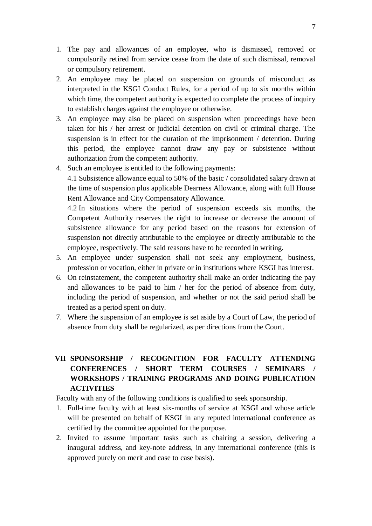- 1. The pay and allowances of an employee, who is dismissed, removed or compulsorily retired from service cease from the date of such dismissal, removal or compulsory retirement.
- 2. An employee may be placed on suspension on grounds of misconduct as interpreted in the KSGI Conduct Rules, for a period of up to six months within which time, the competent authority is expected to complete the process of inquiry to establish charges against the employee or otherwise.
- 3. An employee may also be placed on suspension when proceedings have been taken for his / her arrest or judicial detention on civil or criminal charge. The suspension is in effect for the duration of the imprisonment / detention. During this period, the employee cannot draw any pay or subsistence without authorization from the competent authority.
- 4. Such an employee is entitled to the following payments:

4.1 Subsistence allowance equal to 50% of the basic / consolidated salary drawn at the time of suspension plus applicable Dearness Allowance, along with full House Rent Allowance and City Compensatory Allowance.

4.2 In situations where the period of suspension exceeds six months, the Competent Authority reserves the right to increase or decrease the amount of subsistence allowance for any period based on the reasons for extension of suspension not directly attributable to the employee or directly attributable to the employee, respectively. The said reasons have to be recorded in writing.

- 5. An employee under suspension shall not seek any employment, business, profession or vocation, either in private or in institutions where KSGI has interest.
- 6. On reinstatement, the competent authority shall make an order indicating the pay and allowances to be paid to him / her for the period of absence from duty, including the period of suspension, and whether or not the said period shall be treated as a period spent on duty.
- 7. Where the suspension of an employee is set aside by a Court of Law, the period of absence from duty shall be regularized, as per directions from the Court.

## **VII SPONSORSHIP / RECOGNITION FOR FACULTY ATTENDING CONFERENCES / SHORT TERM COURSES / SEMINARS / WORKSHOPS / TRAINING PROGRAMS AND DOING PUBLICATION ACTIVITIES**

Faculty with any of the following conditions is qualified to seek sponsorship.

- 1. Full-time faculty with at least six-months of service at KSGI and whose article will be presented on behalf of KSGI in any reputed international conference as certified by the committee appointed for the purpose.
- 2. Invited to assume important tasks such as chairing a session, delivering a inaugural address, and key-note address, in any international conference (this is approved purely on merit and case to case basis).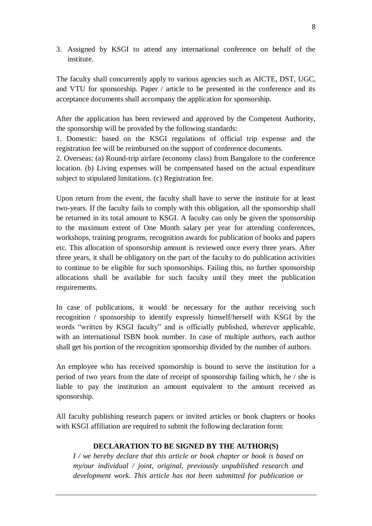3. Assigned by KSGI to attend any international conference on behalf of the institute.

The faculty shall concurrently apply to various agencies such as AICTE, DST, UGC, and VTU for sponsorship. Paper / article to be presented in the conference and its acceptance documents shall accompany the application for sponsorship.

After the application has been reviewed and approved by the Competent Authority, the sponsorship will be provided by the following standards:

1. Domestic: based on the KSGI regulations of official trip expense and the registration fee will be reimbursed on the support of conference documents.

2. Overseas: (a) Round-trip airfare (economy class) from Bangalore to the conference location. (b) Living expenses will be compensated based on the actual expenditure subject to stipulated limitations. (c) Registration fee.

Upon return from the event, the faculty shall have to serve the institute for at least two-years. If the faculty fails to comply with this obligation, all the sponsorship shall be returned in its total amount to KSGI. A faculty can only be given the sponsorship to the maximum extent of One Month salary per year for attending conferences, workshops, training programs, recognition awards for publication of books and papers etc. This allocation of sponsorship amount is reviewed once every three years. After three years, it shall be obligatory on the part of the faculty to do publication activities to continue to be eligible for such sponsorships. Failing this, no further sponsorship allocations shall be available for such faculty until they meet the publication requirements.

In case of publications, it would be necessary for the author receiving such recognition / sponsorship to identify expressly himself/herself with KSGI by the words "written by KSGI faculty" and is officially published, wherever applicable, with an international ISBN book number. In case of multiple authors, each author shall get his portion of the recognition sponsorship divided by the number of authors.

An employee who has received sponsorship is bound to serve the institution for a period of two years from the date of receipt of sponsorship failing which, he / she is liable to pay the institution an amount equivalent to the amount received as sponsorship.

All faculty publishing research papers or invited articles or book chapters or books with KSGI affiliation are required to submit the following declaration form:

#### **DECLARATION TO BE SIGNED BY THE AUTHOR(S)**

*I / we hereby declare that this article or book chapter or book is based on my/our individual / joint, original, previously unpublished research and development work. This article has not been submitted for publication or*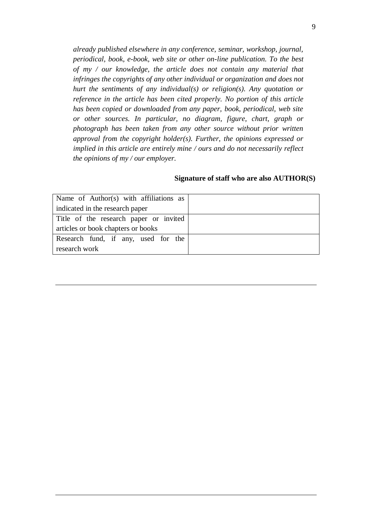*already published elsewhere in any conference, seminar, workshop, journal, periodical, book, e-book, web site or other on-line publication. To the best of my / our knowledge, the article does not contain any material that infringes the copyrights of any other individual or organization and does not hurt the sentiments of any individual(s) or religion(s). Any quotation or reference in the article has been cited properly. No portion of this article has been copied or downloaded from any paper, book, periodical, web site or other sources. In particular, no diagram, figure, chart, graph or photograph has been taken from any other source without prior written approval from the copyright holder(s). Further, the opinions expressed or implied in this article are entirely mine / ours and do not necessarily reflect the opinions of my / our employer.*

| Name of Author(s) with affiliations as |  |
|----------------------------------------|--|
| indicated in the research paper        |  |
| Title of the research paper or invited |  |
| articles or book chapters or books     |  |
| Research fund, if any, used for the    |  |
| research work                          |  |

#### **Signature of staff who are also AUTHOR(S)**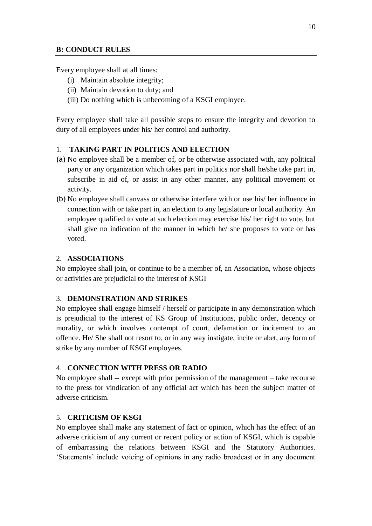### **B: CONDUCT RULES**

Every employee shall at all times:

- (i) Maintain absolute integrity;
- (ii) Maintain devotion to duty; and
- (iii) Do nothing which is unbecoming of a KSGI employee.

Every employee shall take all possible steps to ensure the integrity and devotion to duty of all employees under his/ her control and authority.

#### 1. **TAKING PART IN POLITICS AND ELECTION**

- (a) No employee shall be a member of, or be otherwise associated with, any political party or any organization which takes part in politics nor shall he/she take part in, subscribe in aid of, or assist in any other manner, any political movement or activity.
- (b) No employee shall canvass or otherwise interfere with or use his/ her influence in connection with or take part in, an election to any legislature or local authority. An employee qualified to vote at such election may exercise his/ her right to vote, but shall give no indication of the manner in which he/ she proposes to vote or has voted.

#### 2. **ASSOCIATIONS**

No employee shall join, or continue to be a member of, an Association, whose objects or activities are prejudicial to the interest of KSGI

#### 3. **DEMONSTRATION AND STRIKES**

No employee shall engage himself / herself or participate in any demonstration which is prejudicial to the interest of KS Group of Institutions, public order, decency or morality, or which involves contempt of court, defamation or incitement to an offence. He/ She shall not resort to, or in any way instigate, incite or abet, any form of strike by any number of KSGI employees.

#### 4. **CONNECTION WITH PRESS OR RADIO**

No employee shall -- except with prior permission of the management – take recourse to the press for vindication of any official act which has been the subject matter of adverse criticism.

## 5. **CRITICISM OF KSGI**

No employee shall make any statement of fact or opinion, which has the effect of an adverse criticism of any current or recent policy or action of KSGI, which is capable of embarrassing the relations between KSGI and the Statutory Authorities. 'Statements' include voicing of opinions in any radio broadcast or in any document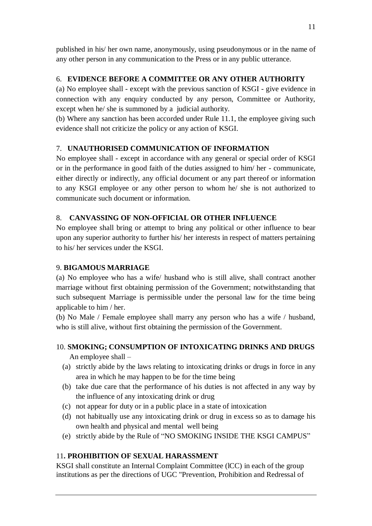published in his/ her own name, anonymously, using pseudonymous or in the name of any other person in any communication to the Press or in any public utterance.

## 6. **EVIDENCE BEFORE A COMMITTEE OR ANY OTHER AUTHORITY**

(a) No employee shall - except with the previous sanction of KSGI - give evidence in connection with any enquiry conducted by any person, Committee or Authority, except when he/ she is summoned by a judicial authority.

(b) Where any sanction has been accorded under Rule 11.1, the employee giving such evidence shall not criticize the policy or any action of KSGI.

## 7. **UNAUTHORISED COMMUNICATION OF INFORMATION**

No employee shall - except in accordance with any general or special order of KSGI or in the performance in good faith of the duties assigned to him/ her - communicate, either directly or indirectly, any official document or any part thereof or information to any KSGI employee or any other person to whom he/ she is not authorized to communicate such document or information.

## 8. **CANVASSING OF NON-OFFICIAL OR OTHER INFLUENCE**

No employee shall bring or attempt to bring any political or other influence to bear upon any superior authority to further his/ her interests in respect of matters pertaining to his/ her services under the KSGI.

## 9. **BIGAMOUS MARRIAGE**

(a) No employee who has a wife/ husband who is still alive, shall contract another marriage without first obtaining permission of the Government; notwithstanding that such subsequent Marriage is permissible under the personal law for the time being applicable to him / her.

(b) No Male / Female employee shall marry any person who has a wife / husband, who is still alive, without first obtaining the permission of the Government.

## 10. **SMOKING; CONSUMPTION OF INTOXICATING DRINKS AND DRUGS**  An employee shall –

- (a) strictly abide by the laws relating to intoxicating drinks or drugs in force in any area in which he may happen to be for the time being
- (b) take due care that the performance of his duties is not affected in any way by the influence of any intoxicating drink or drug
- (c) not appear for duty or in a public place in a state of intoxication
- (d) not habitually use any intoxicating drink or drug in excess so as to damage his own health and physical and mental well being
- (e) strictly abide by the Rule of "NO SMOKING INSIDE THE KSGI CAMPUS"

## 11**. PROHIBITION OF SEXUAL HARASSMENT**

KSGI shall constitute an Internal Complaint Committee (lCC) in each of the group institutions as per the directions of UGC "Prevention, Prohibition and Redressal of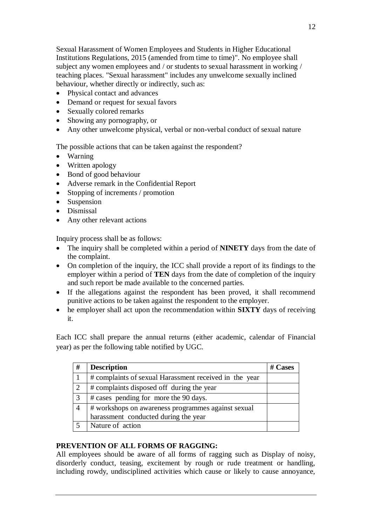Sexual Harassment of Women Employees and Students in Higher Educational Institutions Regulations, 2015 (amended from time to time)". No employee shall subject any women employees and / or students to sexual harassment in working / teaching places. "Sexual harassment" includes any unwelcome sexually inclined behaviour, whether directly or indirectly, such as:

- Physical contact and advances
- Demand or request for sexual favors
- Sexually colored remarks
- Showing any pornography, or
- Any other unwelcome physical, verbal or non-verbal conduct of sexual nature

The possible actions that can be taken against the respondent?

- Warning
- Written apology
- Bond of good behaviour
- Adverse remark in the Confidential Report
- Stopping of increments / promotion
- Suspension
- Dismissal
- Any other relevant actions

Inquiry process shall be as follows:

- The inquiry shall be completed within a period of **NINETY** days from the date of the complaint.
- On completion of the inquiry, the ICC shall provide a report of its findings to the employer within a period of **TEN** days from the date of completion of the inquiry and such report be made available to the concerned parties.
- If the allegations against the respondent has been proved, it shall recommend punitive actions to be taken against the respondent to the employer.
- he employer shall act upon the recommendation within **SIXTY** days of receiving it.

Each ICC shall prepare the annual returns (either academic, calendar of Financial year) as per the following table notified by UGC.

| #                           | <b>Description</b>                                     | $#$ Cases |
|-----------------------------|--------------------------------------------------------|-----------|
|                             | # complaints of sexual Harassment received in the year |           |
| $\mathcal{D}_{\mathcal{L}}$ | # complaints disposed off during the year              |           |
| 3                           | # cases pending for more the 90 days.                  |           |
| 4                           | # workshops on awareness programmes against sexual     |           |
|                             | harassment conducted during the year                   |           |
|                             | Nature of action                                       |           |

## **PREVENTION OF ALL FORMS OF RAGGING:**

All employees should be aware of all forms of ragging such as Display of noisy, disorderly conduct, teasing, excitement by rough or rude treatment or handling, including rowdy, undisciplined activities which cause or likely to cause annoyance,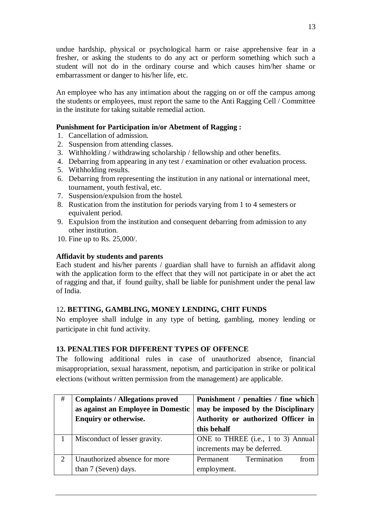undue hardship, physical or psychological harm or raise apprehensive fear in a fresher, or asking the students to do any act or perform something which such a student will not do in the ordinary course and which causes him/her shame or embarrassment or danger to his/her life, etc.

An employee who has any intimation about the ragging on or off the campus among the students or employees, must report the same to the Anti Ragging Cell / Committee in the institute for taking suitable remedial action.

## **Punishment for Participation in/or Abetment of Ragging :**

- 1. Cancellation of admission.
- 2. Suspension from attending classes.
- 3. Withholding / withdrawing scholarship / fellowship and other benefits.
- 4. Debarring from appearing in any test / examination or other evaluation process.
- 5. Withholding results.
- 6. Debarring from representing the institution in any national or international meet, tournament, youth festival, etc.
- 7. Suspension/expulsion from the hostel.
- 8. Rustication from the institution for periods varying from 1 to 4 semesters or equivalent period.
- 9. Expulsion from the institution and consequent debarring from admission to any other institution.
- 10. Fine up to Rs. 25,000/.

### **Affidavit by students and parents**

Each student and his/her parents / guardian shall have to furnish an affidavit along with the application form to the effect that they will not participate in or abet the act of ragging and that, if found guilty, shall be liable for punishment under the penal law of India.

## 12**. BETTING, GAMBLING, MONEY LENDING, CHIT FUNDS**

No employee shall indulge in any type of betting, gambling, money lending or participate in chit fund activity.

## **13. PENALTIES FOR DIFFERENT TYPES OF OFFENCE**

The following additional rules in case of unauthorized absence, financial misappropriation, sexual harassment, nepotism, and participation in strike or political elections (without written permission from the management) are applicable.

| # | <b>Complaints / Allegations proved</b> | Punishment / penalties / fine which |
|---|----------------------------------------|-------------------------------------|
|   | as against an Employee in Domestic     | may be imposed by the Disciplinary  |
|   | <b>Enquiry or otherwise.</b>           | Authority or authorized Officer in  |
|   |                                        | this behalf                         |
|   | Misconduct of lesser gravity.          | ONE to THREE (i.e., 1 to 3) Annual  |
|   |                                        | increments may be deferred.         |
| 2 | Unauthorized absence for more          | from<br>Termination<br>Permanent    |
|   | than 7 (Seven) days.                   | employment.                         |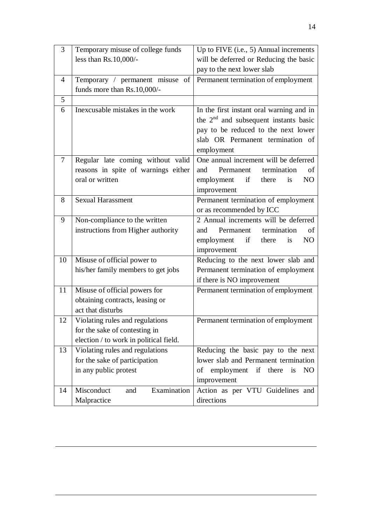| 3  | Temporary misuse of college funds      | Up to FIVE (i.e., 5) Annual increments            |
|----|----------------------------------------|---------------------------------------------------|
|    | less than Rs.10,000/-                  | will be deferred or Reducing the basic            |
|    |                                        | pay to the next lower slab                        |
| 4  | Temporary / permanent misuse of        | Permanent termination of employment               |
|    | funds more than Rs.10,000/-            |                                                   |
| 5  |                                        |                                                   |
| 6  | Inexcusable mistakes in the work       | In the first instant oral warning and in          |
|    |                                        | the $2nd$ and subsequent instants basic           |
|    |                                        | pay to be reduced to the next lower               |
|    |                                        | slab OR Permanent termination of                  |
|    |                                        | employment                                        |
| 7  | Regular late coming without valid      | One annual increment will be deferred             |
|    | reasons in spite of warnings either    | termination<br>Permanent<br>and<br>of             |
|    | oral or written                        | employment<br>if<br>N <sub>O</sub><br>there<br>is |
|    |                                        | improvement                                       |
| 8  | <b>Sexual Harassment</b>               | Permanent termination of employment               |
|    |                                        | or as recommended by ICC                          |
| 9  | Non-compliance to the written          | 2 Annual increments will be deferred              |
|    | instructions from Higher authority     | Permanent<br>termination<br>and<br>of             |
|    |                                        | employment<br>if<br>N <sub>O</sub><br>there<br>is |
|    |                                        | improvement                                       |
| 10 | Misuse of official power to            | Reducing to the next lower slab and               |
|    | his/her family members to get jobs     | Permanent termination of employment               |
|    |                                        | if there is NO improvement                        |
| 11 | Misuse of official powers for          | Permanent termination of employment               |
|    | obtaining contracts, leasing or        |                                                   |
|    | act that disturbs                      |                                                   |
| 12 | Violating rules and regulations        | Permanent termination of employment               |
|    | for the sake of contesting in          |                                                   |
|    | election / to work in political field. |                                                   |
| 13 | Violating rules and regulations        | Reducing the basic pay to the next                |
|    | for the sake of participation          | lower slab and Permanent termination              |
|    | in any public protest                  | employment if<br>there<br>οf<br>NO<br>is          |
|    |                                        | improvement                                       |
| 14 | Misconduct<br>Examination<br>and       | Action as per VTU Guidelines and                  |
|    | Malpractice                            | directions                                        |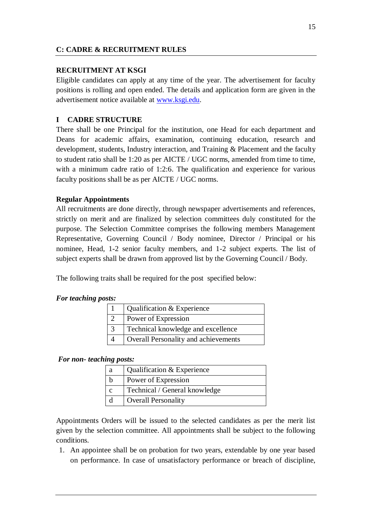## **C: CADRE & RECRUITMENT RULES**

### **RECRUITMENT AT KSGI**

Eligible candidates can apply at any time of the year. The advertisement for faculty positions is rolling and open ended. The details and application form are given in the advertisement notice available at [www.ksgi.edu.](http://www.pes.edu/)

## **I CADRE STRUCTURE**

There shall be one Principal for the institution, one Head for each department and Deans for academic affairs, examination, continuing education, research and development, students, Industry interaction, and Training & Placement and the faculty to student ratio shall be 1:20 as per AICTE / UGC norms, amended from time to time, with a minimum cadre ratio of 1:2:6. The qualification and experience for various faculty positions shall be as per AICTE / UGC norms.

#### **Regular Appointments**

All recruitments are done directly, through newspaper advertisements and references, strictly on merit and are finalized by selection committees duly constituted for the purpose. The Selection Committee comprises the following members Management Representative, Governing Council / Body nominee, Director / Principal or his nominee, Head, 1-2 senior faculty members, and 1-2 subject experts. The list of subject experts shall be drawn from approved list by the Governing Council / Body.

The following traits shall be required for the post specified below:

#### *For teaching posts:*

| Qualification & Experience           |
|--------------------------------------|
| Power of Expression                  |
| Technical knowledge and excellence   |
| Overall Personality and achievements |

#### *For non- teaching posts:*

| a | Qualification & Experience    |
|---|-------------------------------|
|   | Power of Expression           |
|   | Technical / General knowledge |
|   | <b>Overall Personality</b>    |

Appointments Orders will be issued to the selected candidates as per the merit list given by the selection committee. All appointments shall be subject to the following conditions.

1. An appointee shall be on probation for two years, extendable by one year based on performance. In case of unsatisfactory performance or breach of discipline,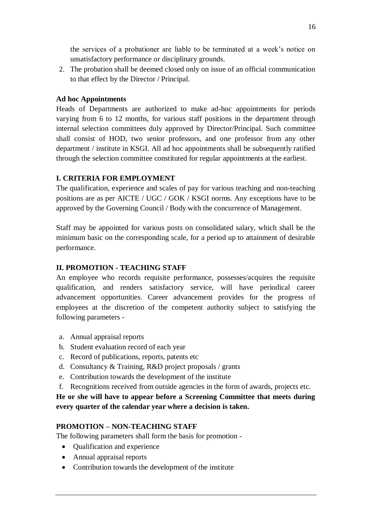the services of a probationer are liable to be terminated at a week's notice on unsatisfactory performance or disciplinary grounds.

2. The probation shall be deemed closed only on issue of an official communication to that effect by the Director / Principal.

#### **Ad hoc Appointments**

Heads of Departments are authorized to make ad-hoc appointments for periods varying from 6 to 12 months, for various staff positions in the department through internal selection committees duly approved by Director/Principal. Such committee shall consist of HOD, two senior professors, and one professor from any other department / institute in KSGI. All ad hoc appointments shall be subsequently ratified through the selection committee constituted for regular appointments at the earliest.

#### **I. CRITERIA FOR EMPLOYMENT**

The qualification, experience and scales of pay for various teaching and non-teaching positions are as per AICTE / UGC / GOK / KSGI norms. Any exceptions have to be approved by the Governing Council / Body with the concurrence of Management.

Staff may be appointed for various posts on consolidated salary, which shall be the minimum basic on the corresponding scale, for a period up to attainment of desirable performance.

#### **II. PROMOTION - TEACHING STAFF**

An employee who records requisite performance, possesses/acquires the requisite qualification, and renders satisfactory service, will have periodical career advancement opportunities. Career advancement provides for the progress of employees at the discretion of the competent authority subject to satisfying the following parameters -

- a. Annual appraisal reports
- b. Student evaluation record of each year
- c. Record of publications, reports, patents etc
- d. Consultancy & Training, R&D project proposals / grants
- e. Contribution towards the development of the institute
- f. Recognitions received from outside agencies in the form of awards, projects etc.

## **He or she will have to appear before a Screening Committee that meets during every quarter of the calendar year where a decision is taken.**

## **PROMOTION – NON-TEACHING STAFF**

The following parameters shall form the basis for promotion -

- Qualification and experience
- Annual appraisal reports
- Contribution towards the development of the institute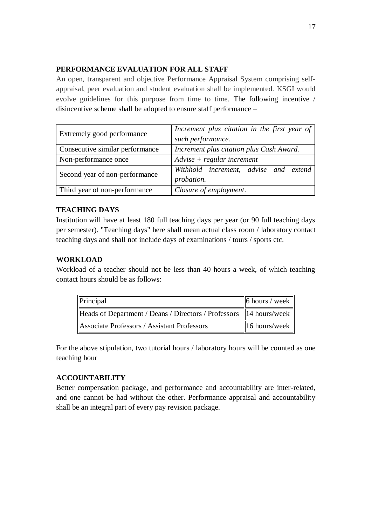## **PERFORMANCE EVALUATION FOR ALL STAFF**

An open, transparent and objective Performance Appraisal System comprising selfappraisal, peer evaluation and student evaluation shall be implemented. KSGI would evolve guidelines for this purpose from time to time. The following incentive / disincentive scheme shall be adopted to ensure staff performance –

| Extremely good performance      | Increment plus citation in the first year of<br>such performance. |
|---------------------------------|-------------------------------------------------------------------|
| Consecutive similar performance | Increment plus citation plus Cash Award.                          |
| Non-performance once            | $Advise + regular increment$                                      |
| Second year of non-performance  | Withhold increment, advise and extend<br>probation.               |
| Third year of non-performance   | Closure of employment.                                            |

## **TEACHING DAYS**

Institution will have at least 180 full teaching days per year (or 90 full teaching days per semester). "Teaching days" here shall mean actual class room / laboratory contact teaching days and shall not include days of examinations / tours / sports etc.

## **WORKLOAD**

Workload of a teacher should not be less than 40 hours a week, of which teaching contact hours should be as follows:

| Principal                                                            | $\vert$ 6 hours / week $\vert$ |
|----------------------------------------------------------------------|--------------------------------|
| Heads of Department / Deans / Directors / Professors   14 hours/week |                                |
| Associate Professors / Assistant Professors                          | $\vert$ 16 hours/week $\vert$  |

For the above stipulation, two tutorial hours / laboratory hours will be counted as one teaching hour

## **ACCOUNTABILITY**

Better compensation package, and performance and accountability are inter-related, and one cannot be had without the other. Performance appraisal and accountability shall be an integral part of every pay revision package.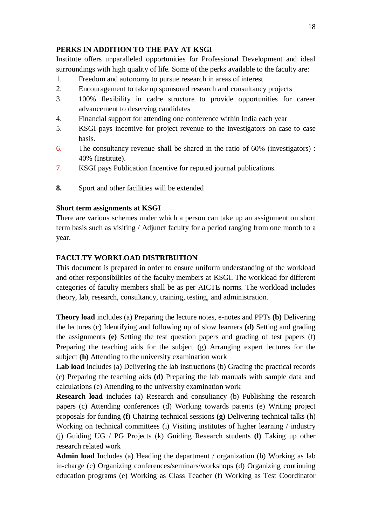## **PERKS IN ADDITION TO THE PAY AT KSGI**

Institute offers unparalleled opportunities for Professional Development and ideal surroundings with high quality of life. Some of the perks available to the faculty are:

- 1. Freedom and autonomy to pursue research in areas of interest
- 2. Encouragement to take up sponsored research and consultancy projects
- 3. 100% flexibility in cadre structure to provide opportunities for career advancement to deserving candidates
- 4. Financial support for attending one conference within India each year
- 5. KSGI pays incentive for project revenue to the investigators on case to case basis.
- 6. The consultancy revenue shall be shared in the ratio of 60% (investigators) : 40% (Institute).
- 7. KSGI pays Publication Incentive for reputed journal publications.
- **8.** Sport and other facilities will be extended

## **Short term assignments at KSGI**

There are various schemes under which a person can take up an assignment on short term basis such as visiting / Adjunct faculty for a period ranging from one month to a year.

## **FACULTY WORKLOAD DISTRIBUTION**

This document is prepared in order to ensure uniform understanding of the workload and other responsibilities of the faculty members at KSGI. The workload for different categories of faculty members shall be as per AICTE norms. The workload includes theory, lab, research, consultancy, training, testing, and administration.

**Theory load** includes (a) Preparing the lecture notes, e-notes and PPTs **(b)** Delivering the lectures (c) Identifying and following up of slow learners **(d)** Setting and grading the assignments **(e)** Setting the test question papers and grading of test papers (f) Preparing the teaching aids for the subject (g) Arranging expert lectures for the subject **(h)** Attending to the university examination work

**Lab load** includes (a) Delivering the lab instructions (b) Grading the practical records (c) Preparing the teaching aids **(d)** Preparing the lab manuals with sample data and calculations (e) Attending to the university examination work

**Research load** includes (a) Research and consultancy (b) Publishing the research papers (c) Attending conferences (d) Working towards patents (e) Writing project proposals for funding **(f)** Chairing technical sessions **(g)** Delivering technical talks (h) Working on technical committees (i) Visiting institutes of higher learning / industry (j) Guiding UG / PG Projects (k) Guiding Research students **(l)** Taking up other research related work

**Admin load** Includes (a) Heading the department / organization (b) Working as lab in-charge (c) Organizing conferences/seminars/workshops (d) Organizing continuing education programs (e) Working as Class Teacher (f) Working as Test Coordinator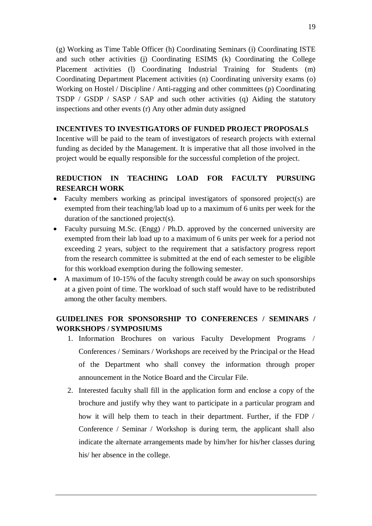(g) Working as Time Table Officer (h) Coordinating Seminars (i) Coordinating ISTE and such other activities (j) Coordinating ESIMS (k) Coordinating the College Placement activities (l) Coordinating Industrial Training for Students (m) Coordinating Department Placement activities (n) Coordinating university exams (o) Working on Hostel / Discipline / Anti-ragging and other committees (p) Coordinating TSDP / GSDP / SASP / SAP and such other activities (q) Aiding the statutory inspections and other events (r) Any other admin duty assigned

## **INCENTIVES TO INVESTIGATORS OF FUNDED PROJECT PROPOSALS**

Incentive will be paid to the team of investigators of research projects with external funding as decided by the Management. It is imperative that all those involved in the project would be equally responsible for the successful completion of the project.

## **REDUCTION IN TEACHING LOAD FOR FACULTY PURSUING RESEARCH WORK**

- Faculty members working as principal investigators of sponsored project(s) are exempted from their teaching/lab load up to a maximum of 6 units per week for the duration of the sanctioned project(s).
- Faculty pursuing M.Sc. (Engg) / Ph.D. approved by the concerned university are exempted from their lab load up to a maximum of 6 units per week for a period not exceeding 2 years, subject to the requirement that a satisfactory progress report from the research committee is submitted at the end of each semester to be eligible for this workload exemption during the following semester.
- A maximum of 10-15% of the faculty strength could be away on such sponsorships at a given point of time. The workload of such staff would have to be redistributed among the other faculty members.

## **GUIDELINES FOR SPONSORSHIP TO CONFERENCES / SEMINARS / WORKSHOPS / SYMPOSIUMS**

- 1. Information Brochures on various Faculty Development Programs / Conferences / Seminars / Workshops are received by the Principal or the Head of the Department who shall convey the information through proper announcement in the Notice Board and the Circular File.
- 2. Interested faculty shall fill in the application form and enclose a copy of the brochure and justify why they want to participate in a particular program and how it will help them to teach in their department. Further, if the FDP / Conference / Seminar / Workshop is during term, the applicant shall also indicate the alternate arrangements made by him/her for his/her classes during his/ her absence in the college.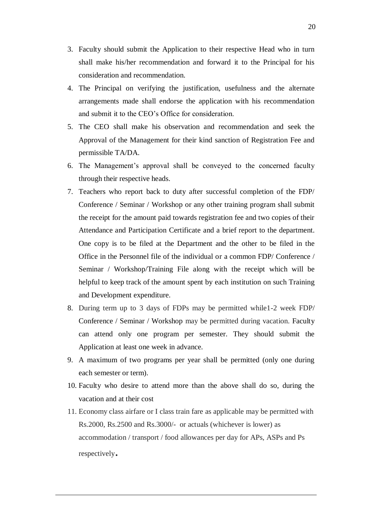- 3. Faculty should submit the Application to their respective Head who in turn shall make his/her recommendation and forward it to the Principal for his consideration and recommendation.
- 4. The Principal on verifying the justification, usefulness and the alternate arrangements made shall endorse the application with his recommendation and submit it to the CEO's Office for consideration.
- 5. The CEO shall make his observation and recommendation and seek the Approval of the Management for their kind sanction of Registration Fee and permissible TA/DA.
- 6. The Management's approval shall be conveyed to the concerned faculty through their respective heads.
- 7. Teachers who report back to duty after successful completion of the FDP/ Conference / Seminar / Workshop or any other training program shall submit the receipt for the amount paid towards registration fee and two copies of their Attendance and Participation Certificate and a brief report to the department. One copy is to be filed at the Department and the other to be filed in the Office in the Personnel file of the individual or a common FDP/ Conference / Seminar / Workshop/Training File along with the receipt which will be helpful to keep track of the amount spent by each institution on such Training and Development expenditure.
- 8. During term up to 3 days of FDPs may be permitted while1-2 week FDP/ Conference / Seminar / Workshop may be permitted during vacation. Faculty can attend only one program per semester. They should submit the Application at least one week in advance.
- 9. A maximum of two programs per year shall be permitted (only one during each semester or term).
- 10. Faculty who desire to attend more than the above shall do so, during the vacation and at their cost
- 11. Economy class airfare or I class train fare as applicable may be permitted with Rs.2000, Rs.2500 and Rs.3000/- or actuals (whichever is lower) as accommodation / transport / food allowances per day for APs, ASPs and Ps respectively.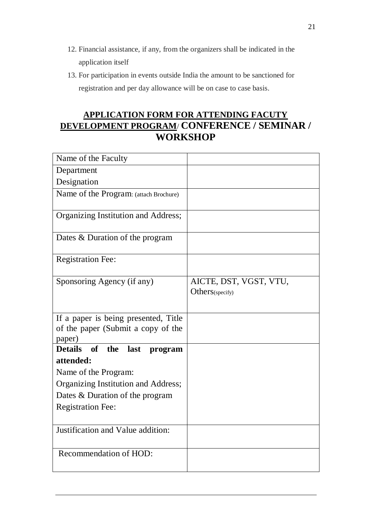- 12. Financial assistance, if any, from the organizers shall be indicated in the application itself
- 13. For participation in events outside India the amount to be sanctioned for registration and per day allowance will be on case to case basis.

# **APPLICATION FORM FOR ATTENDING FACUTY DEVELOPMENT PROGRAM**/ **CONFERENCE / SEMINAR / WORKSHOP**

| Name of the Faculty                                      |                        |
|----------------------------------------------------------|------------------------|
| Department                                               |                        |
| Designation                                              |                        |
| Name of the Program: (attach Brochure)                   |                        |
|                                                          |                        |
| Organizing Institution and Address;                      |                        |
| Dates & Duration of the program                          |                        |
| <b>Registration Fee:</b>                                 |                        |
| Sponsoring Agency (if any)                               | AICTE, DST, VGST, VTU, |
|                                                          | Others(specify)        |
|                                                          |                        |
| If a paper is being presented, Title                     |                        |
| of the paper (Submit a copy of the                       |                        |
| paper)<br>of<br><b>Details</b><br>the<br>last<br>program |                        |
| attended:                                                |                        |
| Name of the Program:                                     |                        |
| Organizing Institution and Address;                      |                        |
| Dates & Duration of the program                          |                        |
| <b>Registration Fee:</b>                                 |                        |
|                                                          |                        |
| Justification and Value addition:                        |                        |
|                                                          |                        |
| Recommendation of HOD:                                   |                        |
|                                                          |                        |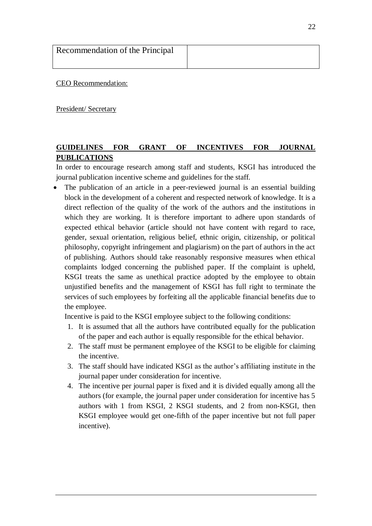| Recommendation of the Principal |  |
|---------------------------------|--|
|                                 |  |

CEO Recommendation:

President/ Secretary

## **GUIDELINES FOR GRANT OF INCENTIVES FOR JOURNAL PUBLICATIONS**

In order to encourage research among staff and students, KSGI has introduced the journal publication incentive scheme and guidelines for the staff.

 The publication of an article in a peer-reviewed journal is an essential building block in the development of a coherent and respected network of knowledge. It is a direct reflection of the quality of the work of the authors and the institutions in which they are working. It is therefore important to adhere upon standards of expected ethical behavior (article should not have content with regard to race, gender, sexual orientation, religious belief, ethnic origin, citizenship, or political philosophy, copyright infringement and plagiarism) on the part of authors in the act of publishing. Authors should take reasonably responsive measures when ethical complaints lodged concerning the published paper. If the complaint is upheld, KSGI treats the same as unethical practice adopted by the employee to obtain unjustified benefits and the management of KSGI has full right to terminate the services of such employees by forfeiting all the applicable financial benefits due to the employee.

Incentive is paid to the KSGI employee subject to the following conditions:

- 1. It is assumed that all the authors have contributed equally for the publication of the paper and each author is equally responsible for the ethical behavior.
- 2. The staff must be permanent employee of the KSGI to be eligible for claiming the incentive.
- 3. The staff should have indicated KSGI as the author's affiliating institute in the journal paper under consideration for incentive.
- 4. The incentive per journal paper is fixed and it is divided equally among all the authors (for example, the journal paper under consideration for incentive has 5 authors with 1 from KSGI, 2 KSGI students, and 2 from non-KSGI, then KSGI employee would get one-fifth of the paper incentive but not full paper incentive).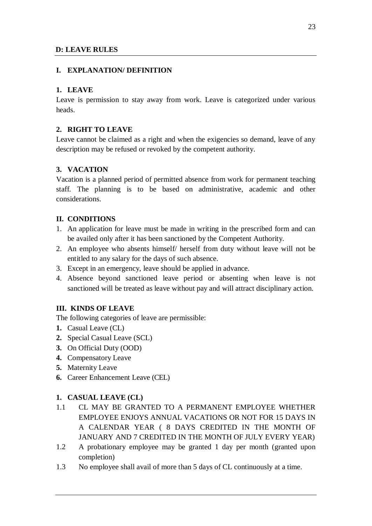## **D: LEAVE RULES**

## **I. EXPLANATION/ DEFINITION**

## **1. LEAVE**

Leave is permission to stay away from work. Leave is categorized under various heads.

## **2. RIGHT TO LEAVE**

Leave cannot be claimed as a right and when the exigencies so demand, leave of any description may be refused or revoked by the competent authority.

## **3. VACATION**

Vacation is a planned period of permitted absence from work for permanent teaching staff. The planning is to be based on administrative, academic and other considerations.

## **II. CONDITIONS**

- 1. An application for leave must be made in writing in the prescribed form and can be availed only after it has been sanctioned by the Competent Authority.
- 2. An employee who absents himself/ herself from duty without leave will not be entitled to any salary for the days of such absence.
- 3. Except in an emergency, leave should be applied in advance.
- 4. Absence beyond sanctioned leave period or absenting when leave is not sanctioned will be treated as leave without pay and will attract disciplinary action.

## **III. KINDS OF LEAVE**

The following categories of leave are permissible:

- **1.** Casual Leave (CL)
- **2.** Special Casual Leave (SCL)
- **3.** On Official Duty (OOD)
- **4.** Compensatory Leave
- **5.** Maternity Leave
- **6.** Career Enhancement Leave (CEL)

## **1. CASUAL LEAVE (CL)**

- 1.1 CL MAY BE GRANTED TO A PERMANENT EMPLOYEE WHETHER EMPLOYEE ENJOYS ANNUAL VACATIONS OR NOT FOR 15 DAYS IN A CALENDAR YEAR ( 8 DAYS CREDITED IN THE MONTH OF JANUARY AND 7 CREDITED IN THE MONTH OF JULY EVERY YEAR)
- 1.2 A probationary employee may be granted 1 day per month (granted upon completion)
- 1.3 No employee shall avail of more than 5 days of CL continuously at a time.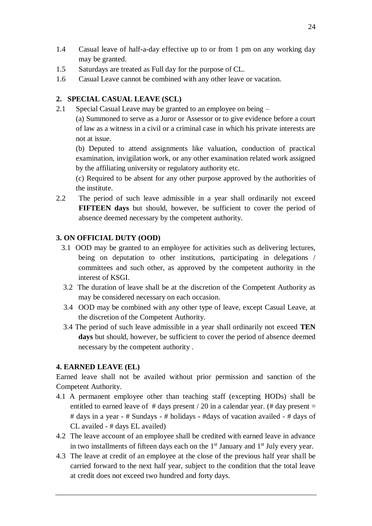- 1.4 Casual leave of half-a-day effective up to or from 1 pm on any working day may be granted.
- 1.5 Saturdays are treated as Full day for the purpose of CL.
- 1.6 Casual Leave cannot be combined with any other leave or vacation.

### **2. SPECIAL CASUAL LEAVE (SCL)**

2.1 Special Casual Leave may be granted to an employee on being –

(a) Summoned to serve as a Juror or Assessor or to give evidence before a court of law as a witness in a civil or a criminal case in which his private interests are not at issue.

(b) Deputed to attend assignments like valuation, conduction of practical examination, invigilation work, or any other examination related work assigned by the affiliating university or regulatory authority etc.

(c) Required to be absent for any other purpose approved by the authorities of the institute.

2.2 The period of such leave admissible in a year shall ordinarily not exceed **FIFTEEN days** but should, however, be sufficient to cover the period of absence deemed necessary by the competent authority.

#### **3. ON OFFICIAL DUTY (OOD)**

- 3.1 OOD may be granted to an employee for activities such as delivering lectures, being on deputation to other institutions, participating in delegations / committees and such other, as approved by the competent authority in the interest of KSGI.
- 3.2 The duration of leave shall be at the discretion of the Competent Authority as may be considered necessary on each occasion.
- 3.4 OOD may be combined with any other type of leave, except Casual Leave, at the discretion of the Competent Authority.
- 3.4 The period of such leave admissible in a year shall ordinarily not exceed **TEN days** but should, however, be sufficient to cover the period of absence deemed necessary by the competent authority .

#### **4. EARNED LEAVE (EL)**

Earned leave shall not be availed without prior permission and sanction of the Competent Authority.

- 4.1 A permanent employee other than teaching staff (excepting HODs) shall be entitled to earned leave of  $\#$  days present / 20 in a calendar year. ( $\#$  day present = # days in a year - # Sundays - # holidays - #days of vacation availed - # days of CL availed - # days EL availed)
- 4.2 The leave account of an employee shall be credited with earned leave in advance in two installments of fifteen days each on the  $1<sup>st</sup>$  January and  $1<sup>st</sup>$  July every year.
- 4.3 The leave at credit of an employee at the close of the previous half year shall be carried forward to the next half year, subject to the condition that the total leave at credit does not exceed two hundred and forty days.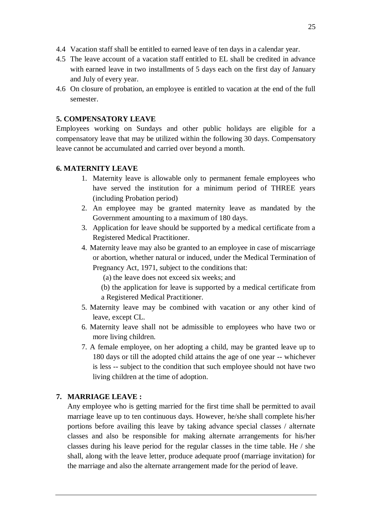- 4.4 Vacation staff shall be entitled to earned leave of ten days in a calendar year.
- 4.5 The leave account of a vacation staff entitled to EL shall be credited in advance with earned leave in two installments of 5 days each on the first day of January and July of every year.
- 4.6 On closure of probation, an employee is entitled to vacation at the end of the full semester.

## **5. COMPENSATORY LEAVE**

Employees working on Sundays and other public holidays are eligible for a compensatory leave that may be utilized within the following 30 days. Compensatory leave cannot be accumulated and carried over beyond a month.

## **6. MATERNITY LEAVE**

- 1. Maternity leave is allowable only to permanent female employees who have served the institution for a minimum period of THREE years (including Probation period)
- 2. An employee may be granted maternity leave as mandated by the Government amounting to a maximum of 180 days.
- 3. Application for leave should be supported by a medical certificate from a Registered Medical Practitioner.
- 4. Maternity leave may also be granted to an employee in case of miscarriage or abortion, whether natural or induced, under the Medical Termination of

Pregnancy Act, 1971, subject to the conditions that:

- (a) the leave does not exceed six weeks; and
- (b) the application for leave is supported by a medical certificate from a Registered Medical Practitioner.
- 5. Maternity leave may be combined with vacation or any other kind of leave, except CL.
- 6. Maternity leave shall not be admissible to employees who have two or more living children.
- 7. A female employee, on her adopting a child, may be granted leave up to 180 days or till the adopted child attains the age of one year -- whichever is less -- subject to the condition that such employee should not have two living children at the time of adoption.

## **7. MARRIAGE LEAVE :**

Any employee who is getting married for the first time shall be permitted to avail marriage leave up to ten continuous days. However, he/she shall complete his/her portions before availing this leave by taking advance special classes / alternate classes and also be responsible for making alternate arrangements for his/her classes during his leave period for the regular classes in the time table. He / she shall, along with the leave letter, produce adequate proof (marriage invitation) for the marriage and also the alternate arrangement made for the period of leave.